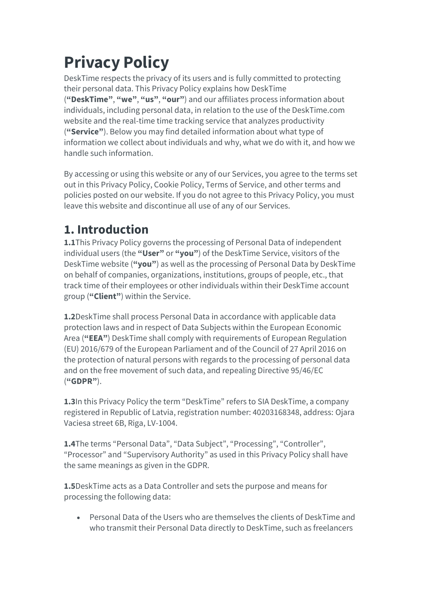# **Privacy Policy**

DeskTime respects the privacy of its users and is fully committed to protecting their personal data. This Privacy Policy explains how DeskTime (**"DeskTime"**, **"we"**, **"us"**, **"our"**) and our affiliates process information about individuals, including personal data, in relation to the use of the DeskTime.com website and the real-time time tracking service that analyzes productivity (**"Service"**). Below you may find detailed information about what type of information we collect about individuals and why, what we do with it, and how we handle such information.

By accessing or using this website or any of our Services, you agree to the terms set out in this Privacy Policy, Cookie Policy, Terms of Service, and other terms and policies posted on our website. If you do not agree to this Privacy Policy, you must leave this website and discontinue all use of any of our Services.

### **1. Introduction**

**1.1**This Privacy Policy governs the processing of Personal Data of independent individual users (the **"User"** or **"you"**) of the DeskTime Service, visitors of the DeskTime website (**"you"**) as well as the processing of Personal Data by DeskTime on behalf of companies, organizations, institutions, groups of people, etc., that track time of their employees or other individuals within their DeskTime account group (**"Client"**) within the Service.

**1.2**DeskTime shall process Personal Data in accordance with applicable data protection laws and in respect of Data Subjects within the European Economic Area (**"EEA"**) DeskTime shall comply with requirements of European Regulation (EU) 2016/679 of the European Parliament and of the Council of 27 April 2016 on the protection of natural persons with regards to the processing of personal data and on the free movement of such data, and repealing Directive 95/46/EC (**"GDPR"**).

**1.3**In this Privacy Policy the term "DeskTime" refers to SIA DeskTime, a company registered in Republic of Latvia, registration number: 40203168348, address: Ojara Vaciesa street 6B, Riga, LV-1004.

**1.4**The terms "Personal Data", "Data Subject", "Processing", "Controller", "Processor" and "Supervisory Authority" as used in this Privacy Policy shall have the same meanings as given in the GDPR.

**1.5**DeskTime acts as a Data Controller and sets the purpose and means for processing the following data:

• Personal Data of the Users who are themselves the clients of DeskTime and who transmit their Personal Data directly to DeskTime, such as freelancers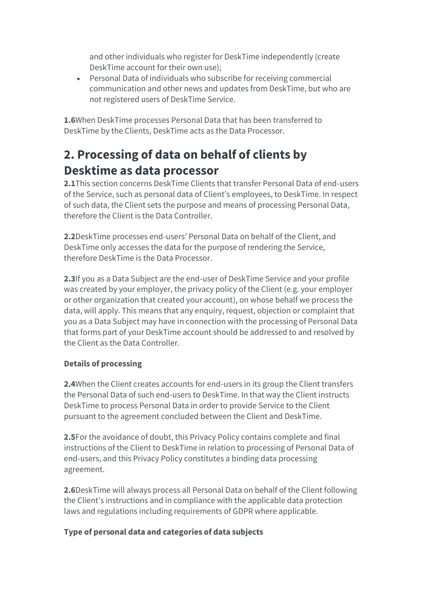and other individuals who register for DeskTime independently (create DeskTime account for their own use);

• Personal Data of individuals who subscribe for receiving commercial communication and other news and updates from DeskTime, but who are not registered users of DeskTime Service.

**1.6**When DeskTime processes Personal Data that has been transferred to DeskTime by the Clients, DeskTime acts as the Data Processor.

### **2. Processing of data on behalf of clients by Desktime as data processor**

**2.1**This section concerns DeskTime Clients that transfer Personal Data of end-users of the Service, such as personal data of Client's employees, to DeskTime. In respect of such data, the Client sets the purpose and means of processing Personal Data, therefore the Client is the Data Controller.

**2.2**DeskTime processes end-users' Personal Data on behalf of the Client, and DeskTime only accesses the data for the purpose of rendering the Service, therefore DeskTime is the Data Processor.

**2.3**If you as a Data Subject are the end-user of DeskTime Service and your profile was created by your employer, the privacy policy of the Client (e.g. your employer or other organization that created your account), on whose behalf we process the data, will apply. This means that any enquiry, request, objection or complaint that you as a Data Subject may have in connection with the processing of Personal Data that forms part of your DeskTime account should be addressed to and resolved by the Client as the Data Controller.

#### **Details of processing**

**2.4**When the Client creates accounts for end-users in its group the Client transfers the Personal Data of such end-users to DeskTime. In that way the Client instructs DeskTime to process Personal Data in order to provide Service to the Client pursuant to the agreement concluded between the Client and DeskTime.

**2.5**For the avoidance of doubt, this Privacy Policy contains complete and final instructions of the Client to DeskTime in relation to processing of Personal Data of end-users, and this Privacy Policy constitutes a binding data processing agreement.

**2.6**DeskTime will always process all Personal Data on behalf of the Client following the Client's instructions and in compliance with the applicable data protection laws and regulations including requirements of GDPR where applicable.

#### **Type of personal data and categories of data subjects**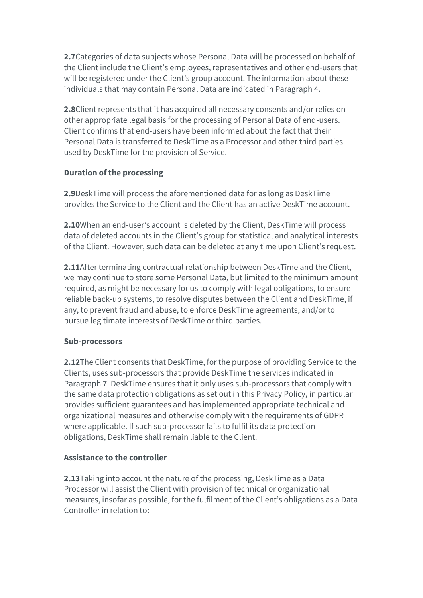**2.7**Categories of data subjects whose Personal Data will be processed on behalf of the Client include the Client's employees, representatives and other end-users that will be registered under the Client's group account. The information about these individuals that may contain Personal Data are indicated in Paragraph 4.

**2.8**Client represents that it has acquired all necessary consents and/or relies on other appropriate legal basis for the processing of Personal Data of end-users. Client confirms that end-users have been informed about the fact that their Personal Data is transferred to DeskTime as a Processor and other third parties used by DeskTime for the provision of Service.

#### **Duration of the processing**

**2.9**DeskTime will process the aforementioned data for as long as DeskTime provides the Service to the Client and the Client has an active DeskTime account.

**2.10**When an end-user's account is deleted by the Client, DeskTime will process data of deleted accounts in the Client's group for statistical and analytical interests of the Client. However, such data can be deleted at any time upon Client's request.

**2.11**After terminating contractual relationship between DeskTime and the Client, we may continue to store some Personal Data, but limited to the minimum amount required, as might be necessary for us to comply with legal obligations, to ensure reliable back-up systems, to resolve disputes between the Client and DeskTime, if any, to prevent fraud and abuse, to enforce DeskTime agreements, and/or to pursue legitimate interests of DeskTime or third parties.

#### **Sub-processors**

**2.12**The Client consents that DeskTime, for the purpose of providing Service to the Clients, uses sub-processors that provide DeskTime the services indicated in Paragraph 7. DeskTime ensures that it only uses sub-processors that comply with the same data protection obligations as set out in this Privacy Policy, in particular provides sufficient guarantees and has implemented appropriate technical and organizational measures and otherwise comply with the requirements of GDPR where applicable. If such sub-processor fails to fulfil its data protection obligations, DeskTime shall remain liable to the Client.

#### **Assistance to the controller**

**2.13**Taking into account the nature of the processing, DeskTime as a Data Processor will assist the Client with provision of technical or organizational measures, insofar as possible, for the fulfilment of the Client's obligations as a Data Controller in relation to: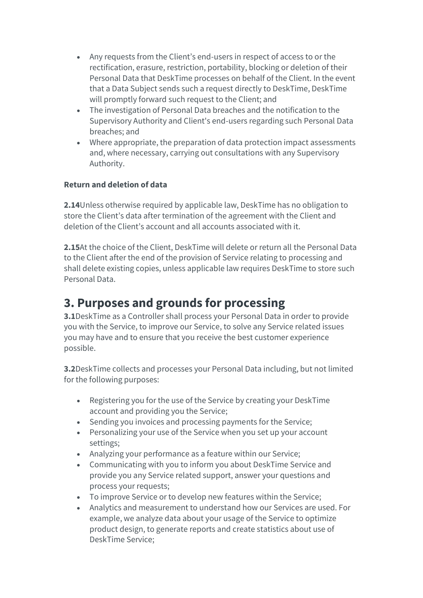- Any requests from the Client's end-users in respect of access to or the rectification, erasure, restriction, portability, blocking or deletion of their Personal Data that DeskTime processes on behalf of the Client. In the event that a Data Subject sends such a request directly to DeskTime, DeskTime will promptly forward such request to the Client; and
- The investigation of Personal Data breaches and the notification to the Supervisory Authority and Client's end-users regarding such Personal Data breaches; and
- Where appropriate, the preparation of data protection impact assessments and, where necessary, carrying out consultations with any Supervisory Authority.

#### **Return and deletion of data**

**2.14**Unless otherwise required by applicable law, DeskTime has no obligation to store the Client's data after termination of the agreement with the Client and deletion of the Client's account and all accounts associated with it.

**2.15**At the choice of the Client, DeskTime will delete or return all the Personal Data to the Client after the end of the provision of Service relating to processing and shall delete existing copies, unless applicable law requires DeskTime to store such Personal Data.

### **3. Purposes and grounds for processing**

**3.1**DeskTime as a Controller shall process your Personal Data in order to provide you with the Service, to improve our Service, to solve any Service related issues you may have and to ensure that you receive the best customer experience possible.

**3.2**DeskTime collects and processes your Personal Data including, but not limited for the following purposes:

- Registering you for the use of the Service by creating your DeskTime account and providing you the Service;
- Sending you invoices and processing payments for the Service;
- Personalizing your use of the Service when you set up your account settings;
- Analyzing your performance as a feature within our Service;
- Communicating with you to inform you about DeskTime Service and provide you any Service related support, answer your questions and process your requests;
- To improve Service or to develop new features within the Service;
- Analytics and measurement to understand how our Services are used. For example, we analyze data about your usage of the Service to optimize product design, to generate reports and create statistics about use of DeskTime Service;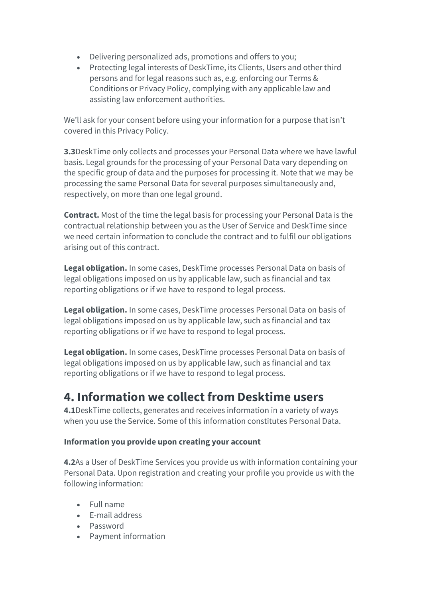- Delivering personalized ads, promotions and offers to you;
- Protecting legal interests of DeskTime, its Clients, Users and other third persons and for legal reasons such as, e.g. enforcing our Terms & Conditions or Privacy Policy, complying with any applicable law and assisting law enforcement authorities.

We'll ask for your consent before using your information for a purpose that isn't covered in this Privacy Policy.

**3.3**DeskTime only collects and processes your Personal Data where we have lawful basis. Legal grounds for the processing of your Personal Data vary depending on the specific group of data and the purposes for processing it. Note that we may be processing the same Personal Data for several purposes simultaneously and, respectively, on more than one legal ground.

**Contract.** Most of the time the legal basis for processing your Personal Data is the contractual relationship between you as the User of Service and DeskTime since we need certain information to conclude the contract and to fulfil our obligations arising out of this contract.

**Legal obligation.** In some cases, DeskTime processes Personal Data on basis of legal obligations imposed on us by applicable law, such as financial and tax reporting obligations or if we have to respond to legal process.

**Legal obligation.** In some cases, DeskTime processes Personal Data on basis of legal obligations imposed on us by applicable law, such as financial and tax reporting obligations or if we have to respond to legal process.

**Legal obligation.** In some cases, DeskTime processes Personal Data on basis of legal obligations imposed on us by applicable law, such as financial and tax reporting obligations or if we have to respond to legal process.

### **4. Information we collect from Desktime users**

**4.1**DeskTime collects, generates and receives information in a variety of ways when you use the Service. Some of this information constitutes Personal Data.

#### **Information you provide upon creating your account**

**4.2**As a User of DeskTime Services you provide us with information containing your Personal Data. Upon registration and creating your profile you provide us with the following information:

- Full name
- E-mail address
- Password
- Payment information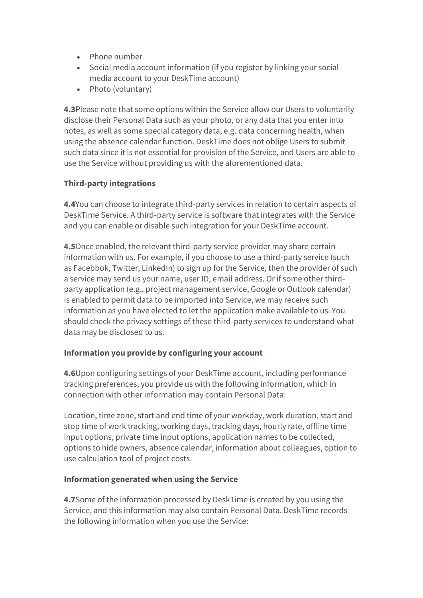- Phone number
- Social media account information (if you register by linking your social media account to your DeskTime account)
- Photo (voluntary)

**4.3**Please note that some options within the Service allow our Users to voluntarily disclose their Personal Data such as your photo, or any data that you enter into notes, as well as some special category data, e.g. data concerning health, when using the absence calendar function. DeskTime does not oblige Users to submit such data since it is not essential for provision of the Service, and Users are able to use the Service without providing us with the aforementioned data.

#### **Third-party integrations**

**4.4**You can choose to integrate third-party services in relation to certain aspects of DeskTime Service. A third-party service is software that integrates with the Service and you can enable or disable such integration for your DeskTime account.

**4.5**Once enabled, the relevant third-party service provider may share certain information with us. For example, if you choose to use a third-party service (such as Facebbok, Twitter, LinkedIn) to sign up for the Service, then the provider of such a service may send us your name, user ID, email address. Or if some other thirdparty application (e.g., project management service, Google or Outlook calendar) is enabled to permit data to be imported into Service, we may receive such information as you have elected to let the application make available to us. You should check the privacy settings of these third-party services to understand what data may be disclosed to us.

#### **Information you provide by configuring your account**

**4.6**Upon configuring settings of your DeskTime account, including performance tracking preferences, you provide us with the following information, which in connection with other information may contain Personal Data:

Location, time zone, start and end time of your workday, work duration, start and stop time of work tracking, working days, tracking days, hourly rate, offline time input options, private time input options, application names to be collected, options to hide owners, absence calendar, information about colleagues, option to use calculation tool of project costs.

#### **Information generated when using the Service**

**4.7**Some of the information processed by DeskTime is created by you using the Service, and this information may also contain Personal Data. DeskTime records the following information when you use the Service: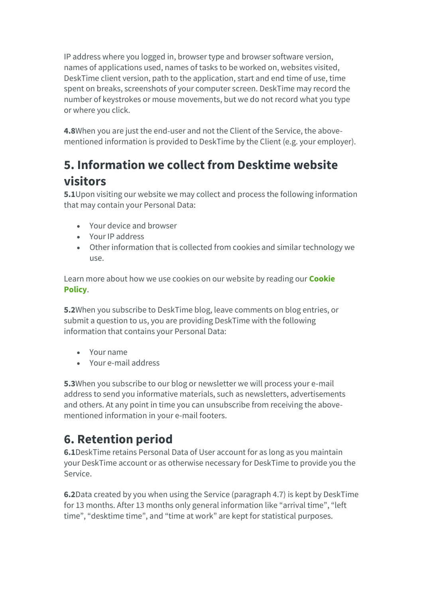IP address where you logged in, browser type and browser software version, names of applications used, names of tasks to be worked on, websites visited, DeskTime client version, path to the application, start and end time of use, time spent on breaks, screenshots of your computer screen. DeskTime may record the number of keystrokes or mouse movements, but we do not record what you type or where you click.

**4.8**When you are just the end-user and not the Client of the Service, the abovementioned information is provided to DeskTime by the Client (e.g. your employer).

### **5. Information we collect from Desktime website visitors**

**5.1**Upon visiting our website we may collect and process the following information that may contain your Personal Data:

- Your device and browser
- Your IP address
- Other information that is collected from cookies and similar technology we use.

Learn more about how we use cookies on our website by reading our **[Cookie](https://desktime.com/%7B%7BURL::route()  [Policy](https://desktime.com/%7B%7BURL::route()**.

**5.2**When you subscribe to DeskTime blog, leave comments on blog entries, or submit a question to us, you are providing DeskTime with the following information that contains your Personal Data:

- Your name
- Your e-mail address

**5.3**When you subscribe to our blog or newsletter we will process your e-mail address to send you informative materials, such as newsletters, advertisements and others. At any point in time you can unsubscribe from receiving the abovementioned information in your e-mail footers.

# **6. Retention period**

**6.1**DeskTime retains Personal Data of User account for as long as you maintain your DeskTime account or as otherwise necessary for DeskTime to provide you the Service.

**6.2**Data created by you when using the Service (paragraph 4.7) is kept by DeskTime for 13 months. After 13 months only general information like "arrival time", "left time", "desktime time", and "time at work" are kept for statistical purposes.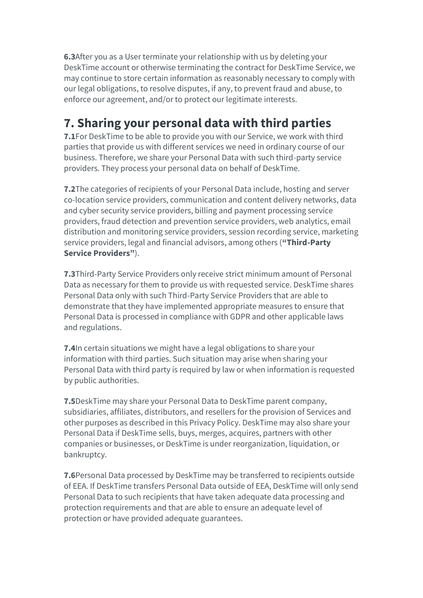**6.3**After you as a User terminate your relationship with us by deleting your DeskTime account or otherwise terminating the contract for DeskTime Service, we may continue to store certain information as reasonably necessary to comply with our legal obligations, to resolve disputes, if any, to prevent fraud and abuse, to enforce our agreement, and/or to protect our legitimate interests.

### **7. Sharing your personal data with third parties**

**7.1**For DeskTime to be able to provide you with our Service, we work with third parties that provide us with different services we need in ordinary course of our business. Therefore, we share your Personal Data with such third-party service providers. They process your personal data on behalf of DeskTime.

**7.2**The categories of recipients of your Personal Data include, hosting and server co-location service providers, communication and content delivery networks, data and cyber security service providers, billing and payment processing service providers, fraud detection and prevention service providers, web analytics, email distribution and monitoring service providers, session recording service, marketing service providers, legal and financial advisors, among others (**"Third-Party Service Providers"**).

**7.3**Third-Party Service Providers only receive strict minimum amount of Personal Data as necessary for them to provide us with requested service. DeskTime shares Personal Data only with such Third-Party Service Providers that are able to demonstrate that they have implemented appropriate measures to ensure that Personal Data is processed in compliance with GDPR and other applicable laws and regulations.

**7.4**In certain situations we might have a legal obligations to share your information with third parties. Such situation may arise when sharing your Personal Data with third party is required by law or when information is requested by public authorities.

**7.5**DeskTime may share your Personal Data to DeskTime parent company, subsidiaries, affiliates, distributors, and resellers for the provision of Services and other purposes as described in this Privacy Policy. DeskTime may also share your Personal Data if DeskTime sells, buys, merges, acquires, partners with other companies or businesses, or DeskTime is under reorganization, liquidation, or bankruptcy.

**7.6**Personal Data processed by DeskTime may be transferred to recipients outside of EEA. If DeskTime transfers Personal Data outside of EEA, DeskTime will only send Personal Data to such recipients that have taken adequate data processing and protection requirements and that are able to ensure an adequate level of protection or have provided adequate guarantees.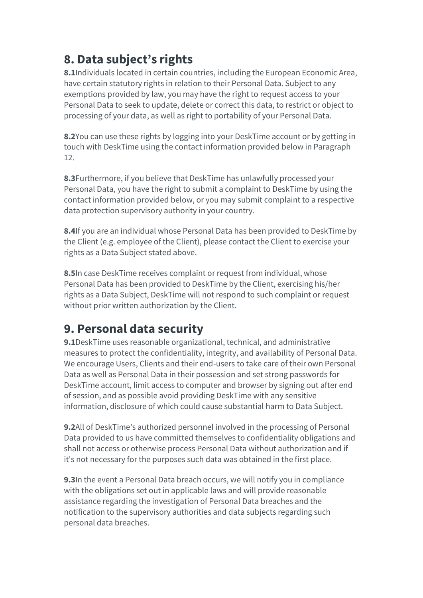# **8. Data subject's rights**

**8.1**Individuals located in certain countries, including the European Economic Area, have certain statutory rights in relation to their Personal Data. Subject to any exemptions provided by law, you may have the right to request access to your Personal Data to seek to update, delete or correct this data, to restrict or object to processing of your data, as well as right to portability of your Personal Data.

**8.2**You can use these rights by logging into your DeskTime account or by getting in touch with DeskTime using the contact information provided below in Paragraph 12.

**8.3**Furthermore, if you believe that DeskTime has unlawfully processed your Personal Data, you have the right to submit a complaint to DeskTime by using the contact information provided below, or you may submit complaint to a respective data protection supervisory authority in your country.

**8.4**If you are an individual whose Personal Data has been provided to DeskTime by the Client (e.g. employee of the Client), please contact the Client to exercise your rights as a Data Subject stated above.

**8.5**In case DeskTime receives complaint or request from individual, whose Personal Data has been provided to DeskTime by the Client, exercising his/her rights as a Data Subject, DeskTime will not respond to such complaint or request without prior written authorization by the Client.

### **9. Personal data security**

**9.1**DeskTime uses reasonable organizational, technical, and administrative measures to protect the confidentiality, integrity, and availability of Personal Data. We encourage Users, Clients and their end-users to take care of their own Personal Data as well as Personal Data in their possession and set strong passwords for DeskTime account, limit access to computer and browser by signing out after end of session, and as possible avoid providing DeskTime with any sensitive information, disclosure of which could cause substantial harm to Data Subject.

**9.2**All of DeskTime's authorized personnel involved in the processing of Personal Data provided to us have committed themselves to confidentiality obligations and shall not access or otherwise process Personal Data without authorization and if it's not necessary for the purposes such data was obtained in the first place.

**9.3**In the event a Personal Data breach occurs, we will notify you in compliance with the obligations set out in applicable laws and will provide reasonable assistance regarding the investigation of Personal Data breaches and the notification to the supervisory authorities and data subjects regarding such personal data breaches.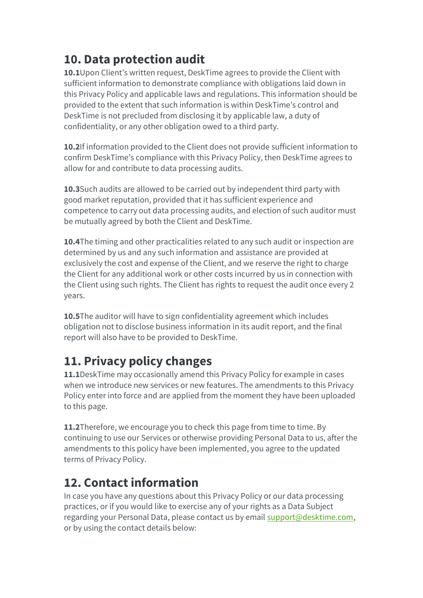# **10. Data protection audit**

**10.1**Upon Client's written request, DeskTime agrees to provide the Client with sufficient information to demonstrate compliance with obligations laid down in this Privacy Policy and applicable laws and regulations. This information should be provided to the extent that such information is within DeskTime's control and DeskTime is not precluded from disclosing it by applicable law, a duty of confidentiality, or any other obligation owed to a third party.

**10.2**If information provided to the Client does not provide sufficient information to confirm DeskTime's compliance with this Privacy Policy, then DeskTime agrees to allow for and contribute to data processing audits.

**10.3**Such audits are allowed to be carried out by independent third party with good market reputation, provided that it has sufficient experience and competence to carry out data processing audits, and election of such auditor must be mutually agreed by both the Client and DeskTime.

**10.4**The timing and other practicalities related to any such audit or inspection are determined by us and any such information and assistance are provided at exclusively the cost and expense of the Client, and we reserve the right to charge the Client for any additional work or other costs incurred by us in connection with the Client using such rights. The Client has rights to request the audit once every 2 years.

**10.5**The auditor will have to sign confidentiality agreement which includes obligation not to disclose business information in its audit report, and the final report will also have to be provided to DeskTime.

### **11. Privacy policy changes**

**11.1**DeskTime may occasionally amend this Privacy Policy for example in cases when we introduce new services or new features. The amendments to this Privacy Policy enter into force and are applied from the moment they have been uploaded to this page.

**11.2**Therefore, we encourage you to check this page from time to time. By continuing to use our Services or otherwise providing Personal Data to us, after the amendments to this policy have been implemented, you agree to the updated terms of Privacy Policy.

### **12. Contact information**

In case you have any questions about this Privacy Policy or our data processing practices, or if you would like to exercise any of your rights as a Data Subject regarding your Personal Data, please contact us by email [support@desktime.com,](mailto:support@desktime.com) or by using the contact details below: